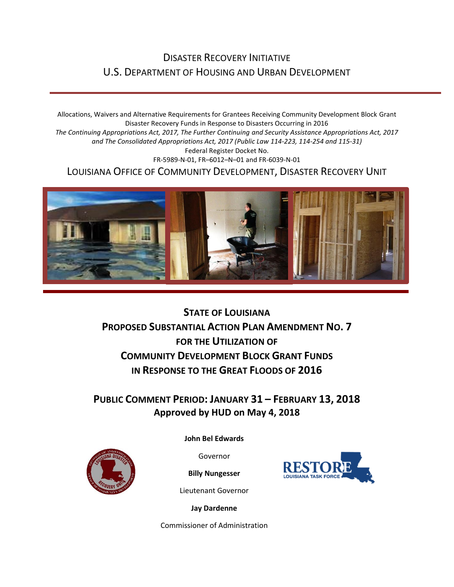### DISASTER RECOVERY INITIATIVE U.S. DEPARTMENT OF HOUSING AND URBAN DEVELOPMENT

Allocations, Waivers and Alternative Requirements for Grantees Receiving Community Development Block Grant Disaster Recovery Funds in Response to Disasters Occurring in 2016 *The Continuing Appropriations Act, 2017, The Further Continuing and Security Assistance Appropriations Act, 2017 and The Consolidated Appropriations Act, 2017 (Public Law 114-223, 114-254 and 115-31)* Federal Register Docket No. FR-5989-N-01, FR–6012–N–01 and FR-6039-N-01 LOUISIANA OFFICE OF COMMUNITY DEVELOPMENT, DISASTER RECOVERY UNIT



**STATE OF LOUISIANA PROPOSED SUBSTANTIAL ACTION PLAN AMENDMENT NO. 7 FOR THE UTILIZATION OF COMMUNITY DEVELOPMENT BLOCK GRANT FUNDS IN RESPONSE TO THE GREAT FLOODS OF 2016**

**PUBLIC COMMENT PERIOD: JANUARY 31 – FEBRUARY 13, 2018 Approved by HUD on May 4, 2018**



**[John Bel Edwards](https://www.facebook.com/LouisianaGov/)**

Governor

**Billy Nungesser**

Lieutenant Governor

**Jay Dardenne**

Commissioner of Administration

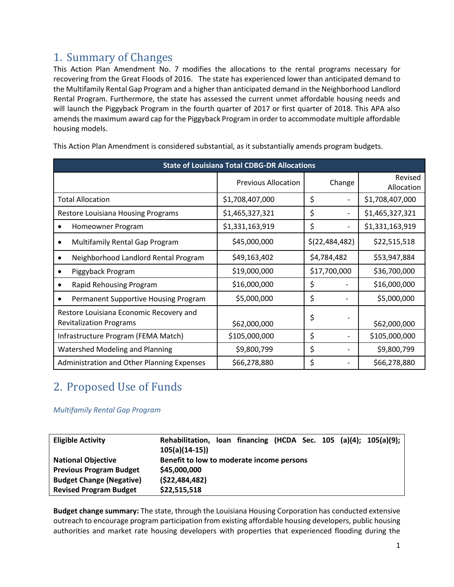# 1. Summary of Changes

This Action Plan Amendment No. 7 modifies the allocations to the rental programs necessary for recovering from the Great Floods of 2016. The state has experienced lower than anticipated demand to the Multifamily Rental Gap Program and a higher than anticipated demand in the Neighborhood Landlord Rental Program. Furthermore, the state has assessed the current unmet affordable housing needs and will launch the Piggyback Program in the fourth quarter of 2017 or first quarter of 2018. This APA also amends the maximum award cap for the Piggyback Program in order to accommodate multiple affordable housing models.

| <b>State of Louisiana Total CDBG-DR Allocations</b>                       |                            |                                |                       |  |  |  |
|---------------------------------------------------------------------------|----------------------------|--------------------------------|-----------------------|--|--|--|
|                                                                           | <b>Previous Allocation</b> | Change                         | Revised<br>Allocation |  |  |  |
| <b>Total Allocation</b>                                                   | \$1,708,407,000            | \$<br>$\overline{\phantom{0}}$ | \$1,708,407,000       |  |  |  |
| <b>Restore Louisiana Housing Programs</b>                                 | \$1,465,327,321            | \$                             | \$1,465,327,321       |  |  |  |
| Homeowner Program                                                         | \$1,331,163,919            | \$                             | \$1,331,163,919       |  |  |  |
| Multifamily Rental Gap Program                                            | \$45,000,000               | \$(22, 484, 482)               | \$22,515,518          |  |  |  |
| Neighborhood Landlord Rental Program                                      | \$49,163,402               | \$4,784,482                    | \$53,947,884          |  |  |  |
| Piggyback Program                                                         | \$19,000,000               | \$17,700,000                   | \$36,700,000          |  |  |  |
| Rapid Rehousing Program                                                   | \$16,000,000               | \$                             | \$16,000,000          |  |  |  |
| Permanent Supportive Housing Program                                      | \$5,000,000                | \$                             | \$5,000,000           |  |  |  |
| Restore Louisiana Economic Recovery and<br><b>Revitalization Programs</b> | \$62,000,000               | \$                             | \$62,000,000          |  |  |  |
| Infrastructure Program (FEMA Match)                                       | \$105,000,000              | \$                             | \$105,000,000         |  |  |  |
| <b>Watershed Modeling and Planning</b>                                    | \$9,800,799                | \$                             | \$9,800,799           |  |  |  |
| Administration and Other Planning Expenses                                | \$66,278,880               | \$                             | \$66,278,880          |  |  |  |

This Action Plan Amendment is considered substantial, as it substantially amends program budgets.

## 2. Proposed Use of Funds

*Multifamily Rental Gap Program*

| <b>Eligible Activity</b>        | Rehabilitation, Ioan financing (HCDA Sec. 105 (a)(4); 105(a)(9);<br>$105(a)(14-15)$ |  |  |  |  |
|---------------------------------|-------------------------------------------------------------------------------------|--|--|--|--|
| <b>National Objective</b>       | Benefit to low to moderate income persons                                           |  |  |  |  |
| <b>Previous Program Budget</b>  | \$45,000,000                                                                        |  |  |  |  |
| <b>Budget Change (Negative)</b> | (522, 484, 482)                                                                     |  |  |  |  |
| <b>Revised Program Budget</b>   | \$22,515,518                                                                        |  |  |  |  |

**Budget change summary:** The state, through the Louisiana Housing Corporation has conducted extensive outreach to encourage program participation from existing affordable housing developers, public housing authorities and market rate housing developers with properties that experienced flooding during the